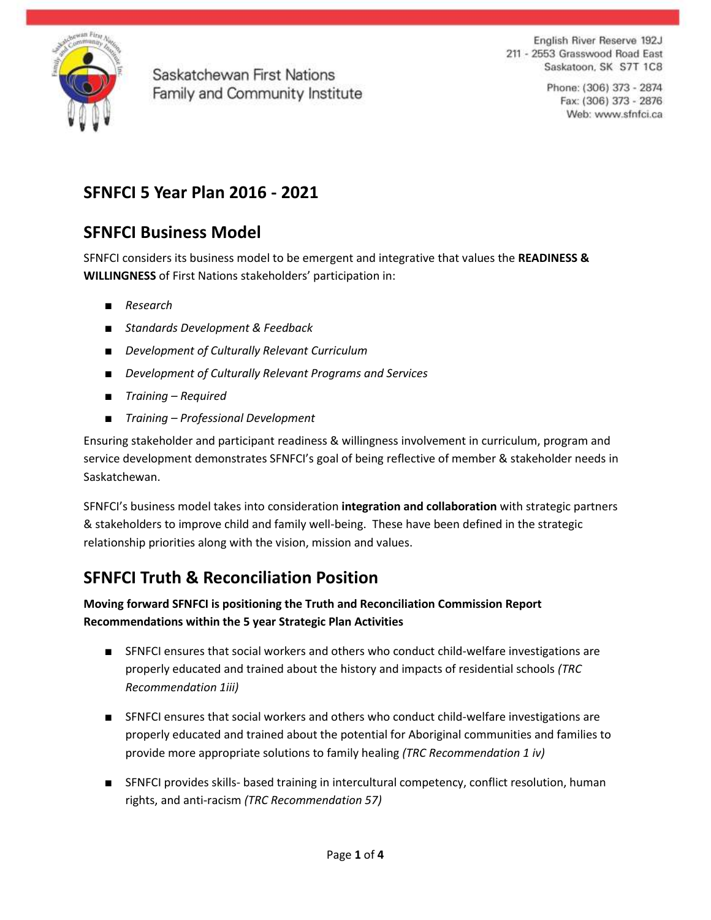

English River Reserve 192J 211 - 2553 Grasswood Road East Saskatoon, SK S7T 1C8

> Phone: (306) 373 - 2874 Fax: (306) 373 - 2876 Web: www.sfnfci.ca

# **SFNFCI 5 Year Plan 2016 - 2021**

# **SFNFCI Business Model**

SFNFCI considers its business model to be emergent and integrative that values the **READINESS & WILLINGNESS** of First Nations stakeholders' participation in:

- *Research*
- *Standards Development & Feedback*
- *Development of Culturally Relevant Curriculum*
- *Development of Culturally Relevant Programs and Services*
- *Training – Required*
- *Training – Professional Development*

Ensuring stakeholder and participant readiness & willingness involvement in curriculum, program and service development demonstrates SFNFCI's goal of being reflective of member & stakeholder needs in Saskatchewan.

SFNFCI's business model takes into consideration **integration and collaboration** with strategic partners & stakeholders to improve child and family well-being. These have been defined in the strategic relationship priorities along with the vision, mission and values.

# **SFNFCI Truth & Reconciliation Position**

#### **Moving forward SFNFCI is positioning the Truth and Reconciliation Commission Report Recommendations within the 5 year Strategic Plan Activities**

- SFNFCI ensures that social workers and others who conduct child-welfare investigations are properly educated and trained about the history and impacts of residential schools *(TRC Recommendation 1iii)*
- SFNFCI ensures that social workers and others who conduct child-welfare investigations are properly educated and trained about the potential for Aboriginal communities and families to provide more appropriate solutions to family healing *(TRC Recommendation 1 iv)*
- SFNFCI provides skills- based training in intercultural competency, conflict resolution, human rights, and anti-racism *(TRC Recommendation 57)*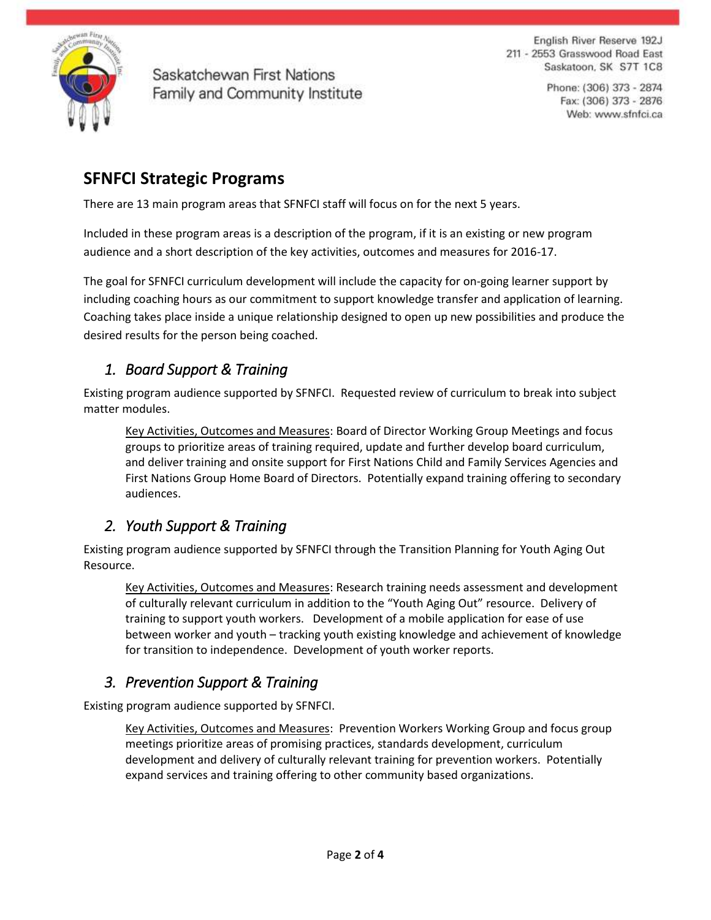

English River Reserve 192J 211 - 2553 Grasswood Road East Saskatoon, SK S7T 1C8

> Phone: (306) 373 - 2874 Fax: (306) 373 - 2876 Web: www.sfnfci.ca

# **SFNFCI Strategic Programs**

There are 13 main program areas that SFNFCI staff will focus on for the next 5 years.

Included in these program areas is a description of the program, if it is an existing or new program audience and a short description of the key activities, outcomes and measures for 2016-17.

The goal for SFNFCI curriculum development will include the capacity for on-going learner support by including coaching hours as our commitment to support knowledge transfer and application of learning. Coaching takes place inside a unique relationship designed to open up new possibilities and produce the desired results for the person being coached.

## *1. Board Support & Training*

Existing program audience supported by SFNFCI. Requested review of curriculum to break into subject matter modules.

Key Activities, Outcomes and Measures: Board of Director Working Group Meetings and focus groups to prioritize areas of training required, update and further develop board curriculum, and deliver training and onsite support for First Nations Child and Family Services Agencies and First Nations Group Home Board of Directors. Potentially expand training offering to secondary audiences.

### *2. Youth Support & Training*

Existing program audience supported by SFNFCI through the Transition Planning for Youth Aging Out Resource.

Key Activities, Outcomes and Measures: Research training needs assessment and development of culturally relevant curriculum in addition to the "Youth Aging Out" resource. Delivery of training to support youth workers. Development of a mobile application for ease of use between worker and youth – tracking youth existing knowledge and achievement of knowledge for transition to independence. Development of youth worker reports.

### *3. Prevention Support & Training*

Existing program audience supported by SFNFCI.

Key Activities, Outcomes and Measures: Prevention Workers Working Group and focus group meetings prioritize areas of promising practices, standards development, curriculum development and delivery of culturally relevant training for prevention workers. Potentially expand services and training offering to other community based organizations.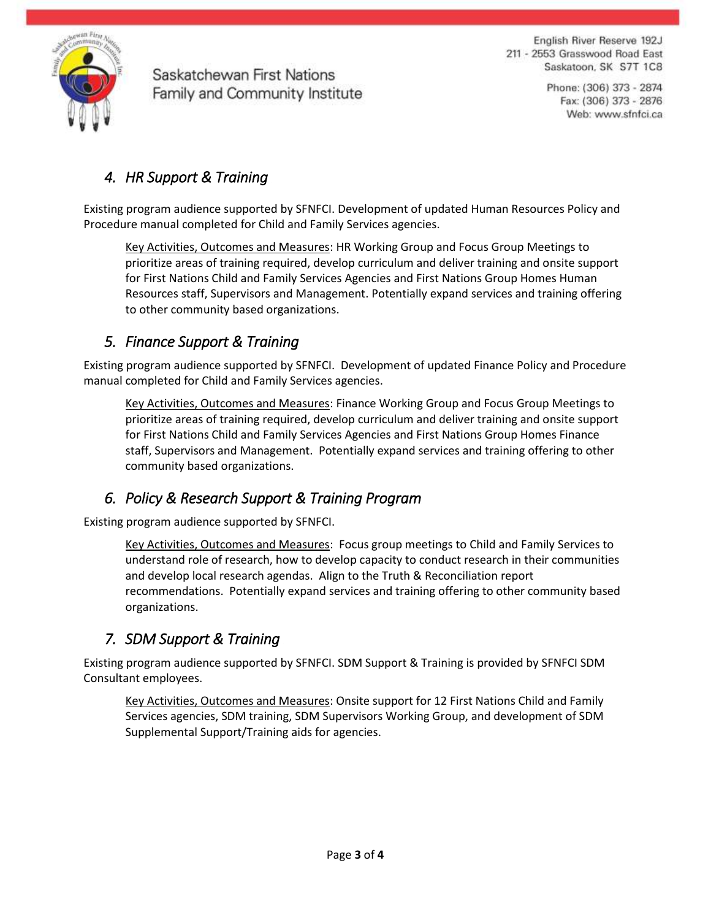

English River Reserve 192J 211 - 2553 Grasswood Road East Saskatoon, SK S7T 1C8

> Phone: (306) 373 - 2874 Fax: (306) 373 - 2876 Web: www.sfnfci.ca

# *4. HR Support & Training*

Existing program audience supported by SFNFCI. Development of updated Human Resources Policy and Procedure manual completed for Child and Family Services agencies.

Key Activities, Outcomes and Measures: HR Working Group and Focus Group Meetings to prioritize areas of training required, develop curriculum and deliver training and onsite support for First Nations Child and Family Services Agencies and First Nations Group Homes Human Resources staff, Supervisors and Management. Potentially expand services and training offering to other community based organizations.

### *5. Finance Support & Training*

Existing program audience supported by SFNFCI. Development of updated Finance Policy and Procedure manual completed for Child and Family Services agencies.

Key Activities, Outcomes and Measures: Finance Working Group and Focus Group Meetings to prioritize areas of training required, develop curriculum and deliver training and onsite support for First Nations Child and Family Services Agencies and First Nations Group Homes Finance staff, Supervisors and Management. Potentially expand services and training offering to other community based organizations.

### *6. Policy & Research Support & Training Program*

Existing program audience supported by SFNFCI.

Key Activities, Outcomes and Measures: Focus group meetings to Child and Family Services to understand role of research, how to develop capacity to conduct research in their communities and develop local research agendas. Align to the Truth & Reconciliation report recommendations. Potentially expand services and training offering to other community based organizations.

### *7. SDM Support & Training*

Existing program audience supported by SFNFCI. SDM Support & Training is provided by SFNFCI SDM Consultant employees.

Key Activities, Outcomes and Measures: Onsite support for 12 First Nations Child and Family Services agencies, SDM training, SDM Supervisors Working Group, and development of SDM Supplemental Support/Training aids for agencies.